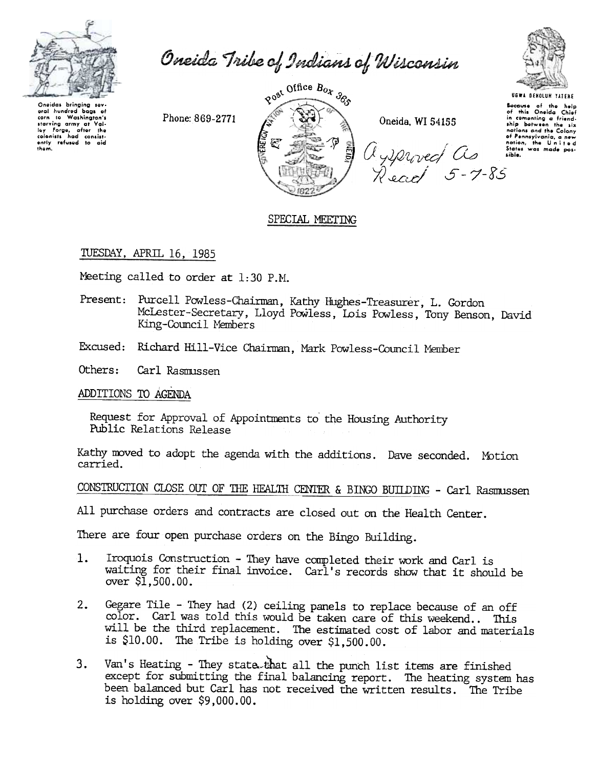

Oneida Tribe of Indians of Wisconsin

Oneidas bringing sev wrain nundred bags of<br>corn to Washington's<br>starving army at Vali-<br>ley Forge, after the<br>colonists had consist-<br>ently refused to aid<br>them. aral hundred bacs of

Phone: 869-2771



Oneida, WI 54155

Uysproved as

**UGWA DENOLUN YATENE** Because of the help of this Oneida Chief<br>of this Oneida Chief<br>in comenting a friend-<br>ship between the six<br>nations and the Colony of Pennsylvania, a new sible.

### SPECIAL MEETING

TUESDAY, APRIL 16, 1985

Meeting called to order at 1:30 P.M.

Present: Purcell Powless-Chairman, Kathy Hughes-Treasurer, L. Gordon McLester-Secretary, Lloyd Powless, Lois Powless, Tony Benson, David King-Council Members

Excused: Richard Hill-Vice Chairman, Mark Powless-Council Member

Others: Carl Rasmissen

ADDITIONS TO AGENDA

Request for Approval of Appointments to the Housing Authority Public Relations Release

Kathy moved to adopt the agenda with the additions. Dave seconded. Motion carried.

CONSTRUCTION CLOSE OUT OF THE HEALTH CENTER & BINGO BUILDING - Carl Rasmussen

All purchase orders and contracts are closed out on the Health Center.

There are four open purchase orders on the Bingo Building.

- Iroquois Construction They have completed their work and Carl is  $1.$ waiting for their final invoice. Carl's records show that it should be over \$1,500.00.
- Gegare Tile They had (2) ceiling panels to replace because of an off  $2.$ color. Carl was told this would be taken care of this weekend.. This will be the third replacement. The estimated cost of labor and materials is \$10.00. The Tribe is holding over  $$1,500.00$ .
- Van's Heating They state that all the punch list items are finished  $3.$ except for submitting the final balancing report. The heating system has been balanced but Carl has not received the written results. The Tribe is holding over  $$9,000.00$ .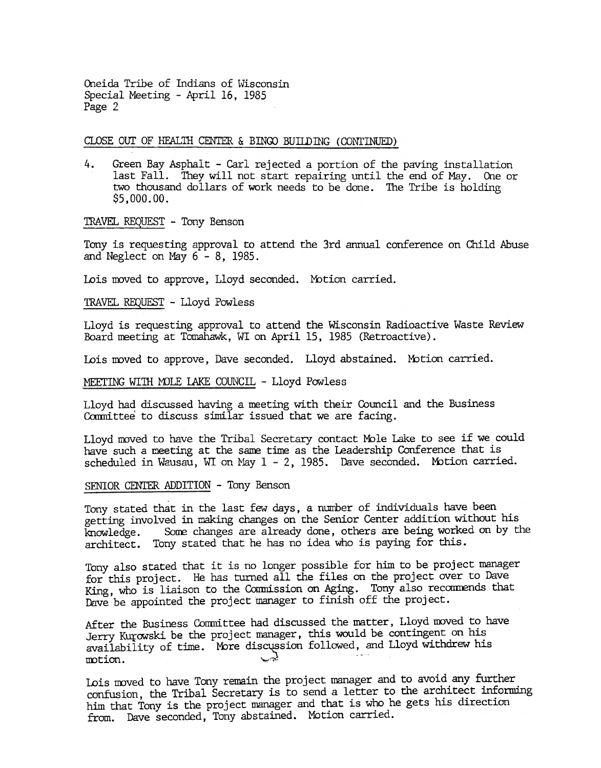Oneida Tribe of Indians of Wisconsin Special Meeting - April 16, 1985 Page 2

CLOSE OUT OF HFALTH CENTER & BINGO BUILDING (CONTINUED)

4. Green Bay Asphalt -Carl rejected a portion of the paving installation last Fall. They will not start repairing until the end of May. One or two thousand dollars of work needs to be done. The Tribe is holding \$5,000.00.

TRAVEL REQUEST - Tony Benson

Tony is requesting approval to attend the 3rd annual conference on Child Abuse and Neglect on May  $6 - 8$ , 1985.

Lois moved to approve, Lloyd seconded. Motion carried.

TRAVEL REQUEST - Lloyd Powless

Lloyd is requesting approval to attend the Wisconsin Radioactive Waste Review Board meeting at TomahaWk, WI on April 15, 1985 (Retroactive).

Lois moved to approve, Dave seconded. Lloyd abstained. Motion carried.

MEETING WITH MOLE LAKE COUNCIL - Lloyd Powless

Lloyd had discussed having a meeting with their Council and the Business Committee to discuss similar issued that we are facing.

Lloyd moved to have the Tribal Secretary contact Mole Lake to see if we could have such a meeting at the sane time as the Leadership Conference that is scheduled in Wausau, WI on May  $1 - 2$ , 1985. Dave seconded. Motion carried.

SENIOR CENTER ADDITION - Tony Benson

Tony stated that in the last few days, a number of individuals have been getting involved in making changes on the Senior Center addition without his knowledge. Some changes are already done, others are being worked on by the architect. Tony stated that he has no idea who is paying for this.

Tony also stated that it is no longer possible for him to be project manager for this project. He has turned all the files on the project over to Dave King, who is liaison to the Commission on Aging. Tony also recommends that Dave be appointed the project manager to finish off the project.

After the Business Committee had discussed the matter, Lloyd moved to have Jerry Kurowski be the project manager, this would be contingent on his availability of time. More discussion followed, and Lloyd withdrew his  $motion.$ 

Lois moved to have Tony remain the project manager and to avoid any further confusion, the Tribal Secretary is to send a letter to the architect informing him that Tony is the project manager and that is who he gets his direction from. Dave seconded, Tony abstained. Motion carried.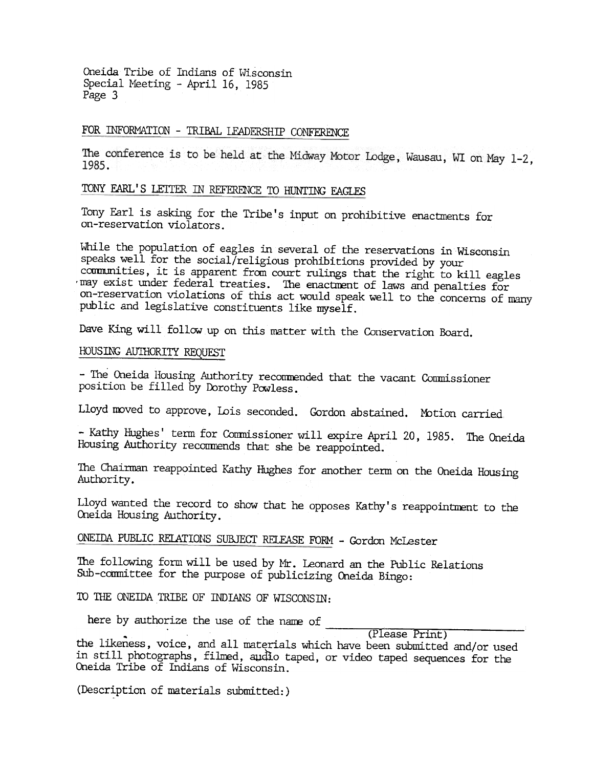Oneida Tribe of Indians of Wisconsin Special Meeting - April 16, 1985 Page 3

## FOR INFORMATION - TRIBAL LEADERSHIP CONFERENCE

The conference is to be held at the Midway Motor Lodge, Wausau, WI on May 1-2, 1985.

# TONY EARL'S LETTER IN REFERENCE TO HUNTING EAGLES

Tony Earl is asking for the Tribe's input on prohibitive enactments for on-reservation violators.

While the population of eagles in several of the reservations in Wisconsin speaks well for the social/religious prohibitions provided by your communities, it is apparent from court rulings that the right to kill eagles 'may exist under federal treaties. The enactment of laws and penalties for on-reservation violations of this act would speak well to the concerns of many public and legislative constituents like myself.

Dave King will follow up on this matter with the Conservation Board.

#### HOUSING AUTHORITY REQUEST

-The Oneida Housing Authority reconnended that the vacant Conmissioner position be filled by Dorothy Powless.

Lloyd moved to approve, Lois seconded. Gordon abstained. Motion carried.

- Kathy Hughes' term for Commissioner will expire April 20, 1985. The Oneid Housing Authority reconmends that she be reappointed.

The Chairman reappointed Kathy Hughes for another term on the Oneida Housing Authority .

Lloyd wanted the record to show that he opposes Kathy's reappointment to the Oneida Housing Authority.

# ONEIDA PUBLIC RELATIONS SUBJECT RELEASE FORM - Gordon McLester

The following form will be used by Mr. Leonard an the Public Relations Sub-committee for the purpose of publicizing Oneida Bingo:

TO THE ONEIDA TRIBE OF INDIANS OF WISCONSIN:

here by authorize the use of the name of

.(Please Print)

the likeness, voice, and all materials which have been submitted and/or used in s till photographs, filmed, audio taped, or video taped sequences for the Oneida Tribe of Indians of Wisconsin.

(Description of materials submitted:)